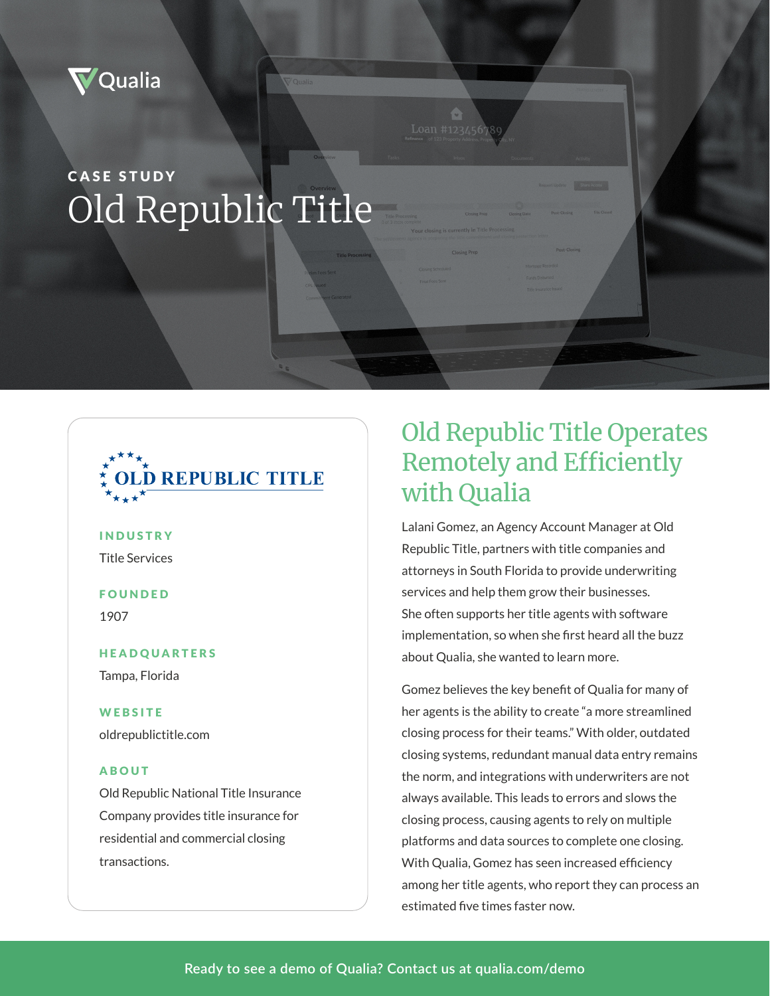

# CASE STUDY Old Republic Title



## INDUSTRY

Title Services

#### FOUNDED

1907

## HEADQUARTERS Tampa, Florida

**WEBSITE** oldrepublictitle.com

#### ABOUT

Old Republic National Title Insurance Company provides title insurance for residential and commercial closing transactions.

# Old Republic Title Operates Remotely and Efficiently with Qualia

Loan #12345678

Lalani Gomez, an Agency Account Manager at Old Republic Title, partners with title companies and attorneys in South Florida to provide underwriting services and help them grow their businesses. She often supports her title agents with software implementation, so when she first heard all the buzz about Qualia, she wanted to learn more.

Gomez believes the key benefit of Qualia for many of her agents is the ability to create "a more streamlined closing process for their teams." With older, outdated closing systems, redundant manual data entry remains the norm, and integrations with underwriters are not always available. This leads to errors and slows the closing process, causing agents to rely on multiple platforms and data sources to complete one closing. With Qualia, Gomez has seen increased efficiency among her title agents, who report they can process an estimated five times faster now.